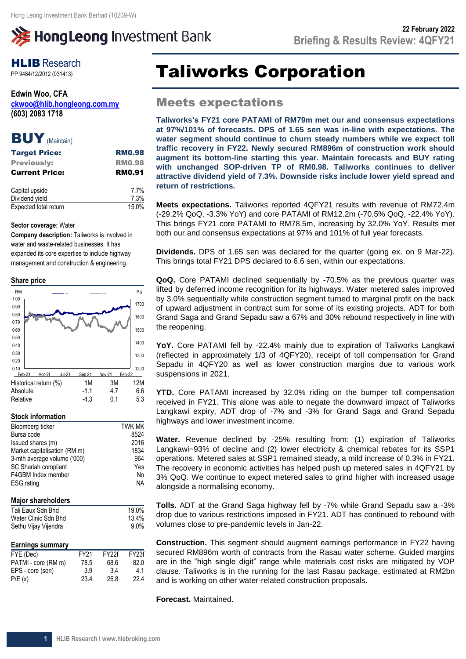# **》HongLeong Investment Bank**

## **HLIB** Research

**Edwin Woo, CFA [ckwoo@hlib.hongleong.com.my](mailto:ckwoo@hlib.hongleong.com.my) (603) 2083 1718**

### BUY (Maintain)

| <b>Target Price:</b>  | <b>RM0.98</b> |
|-----------------------|---------------|
| <b>Previously:</b>    | <b>RM0.98</b> |
| <b>Current Price:</b> | <b>RM0.91</b> |
| Capital upside        | 7.7%          |
| Dividend yield        | 7.3%          |
| Expected total return | 15.0%         |

### **Sector coverage:** Water

**Company description:** Taliworks is involved in water and waste-related businesses. It has expanded its core expertise to include highway management and construction & engineering.

### **Share price**



### **Stock information**

| Bloomberg ticker             | <b>TWK MK</b> |
|------------------------------|---------------|
| Bursa code                   | 8524          |
| Issued shares (m)            | 2016          |
| Market capitalisation (RM m) | 1834          |
| 3-mth average volume ('000)  | 964           |
| SC Shariah compliant         | Yes           |
| F4GBM Index member           | No            |
| <b>ESG</b> rating            | <b>NA</b>     |
|                              |               |
|                              |               |

### **Major shareholders**

| Tali Eaux Sdn Bhd    | 19.0%   |
|----------------------|---------|
| Water Clinic Sdn Bhd | 13.4%   |
| Sethu Vijay Vijendra | $9.0\%$ |

### **Earnings summary**

| FYE (Dec)           | FY <sub>21</sub> | FY <sub>27</sub> f | FY <sub>23f</sub> |
|---------------------|------------------|--------------------|-------------------|
| PATMI - core (RM m) | 78.5             | 68.6               | 82.0              |
| EPS - core (sen)    | 3.9              | 3.4                | 4.1               |
| P/E(x)              | 23.4             | 26.8               | 22.4              |
|                     |                  |                    |                   |

## **PP 9484/12/2012 (031413)** Taliworks Corporation

### Meets expectations

**Taliworks's FY21 core PATAMI of RM79m met our and consensus expectations at 97%/101% of forecasts. DPS of 1.65 sen was in-line with expectations. The water segment should continue to churn steady numbers while we expect toll traffic recovery in FY22. Newly secured RM896m of construction work should augment its bottom-line starting this year. Maintain forecasts and BUY rating with unchanged SOP-driven TP of RM0.98. Taliworks continues to deliver attractive dividend yield of 7.3%. Downside risks include lower yield spread and return of restrictions.**

**Meets expectations.** Taliworks reported 4QFY21 results with revenue of RM72.4m (-29.2% QoQ, -3.3% YoY) and core PATAMI of RM12.2m (-70.5% QoQ, -22.4% YoY). This brings FY21 core PATAMI to RM78.5m, increasing by 32.0% YoY. Results met both our and consensus expectations at 97% and 101% of full year forecasts.

**Dividends.** DPS of 1.65 sen was declared for the quarter (going ex. on 9 Mar-22). This brings total FY21 DPS declared to 6.6 sen, within our expectations.

**QoQ.** Core PATAMI declined sequentially by -70.5% as the previous quarter was lifted by deferred income recognition for its highways. Water metered sales improved by 3.0% sequentially while construction segment turned to marginal profit on the back of upward adjustment in contract sum for some of its existing projects. ADT for both Grand Saga and Grand Sepadu saw a 67% and 30% rebound respectively in line with the reopening.

**YoY.** Core PATAMI fell by -22.4% mainly due to expiration of Taliworks Langkawi (reflected in approximately 1/3 of 4QFY20), receipt of toll compensation for Grand Sepadu in 4QFY20 as well as lower construction margins due to various work suspensions in 2021.

**YTD.** Core PATAMI increased by 32.0% riding on the bumper toll compensation received in FY21. This alone was able to negate the downward impact of Taliworks Langkawi expiry, ADT drop of -7% and -3% for Grand Saga and Grand Sepadu highways and lower investment income.

**Water.** Revenue declined by -25% resulting from: (1) expiration of Taliworks Langkawi~93% of decline and (2) lower electricity & chemical rebates for its SSP1 operations. Metered sales at SSP1 remained steady, a mild increase of 0.3% in FY21. The recovery in economic activities has helped push up metered sales in 4QFY21 by 3% QoQ. We continue to expect metered sales to grind higher with increased usage alongside a normalising economy.

**Tolls.** ADT at the Grand Saga highway fell by -7% while Grand Sepadu saw a -3% drop due to various restrictions imposed in FY21. ADT has continued to rebound with volumes close to pre-pandemic levels in Jan-22.

**Construction.** This segment should augment earnings performance in FY22 having secured RM896m worth of contracts from the Rasau water scheme. Guided margins are in the "high single digit" range while materials cost risks are mitigated by VOP clause. Taliworks is in the running for the last Rasau package, estimated at RM2bn and is working on other water-related construction proposals.

**Forecast.** Maintained.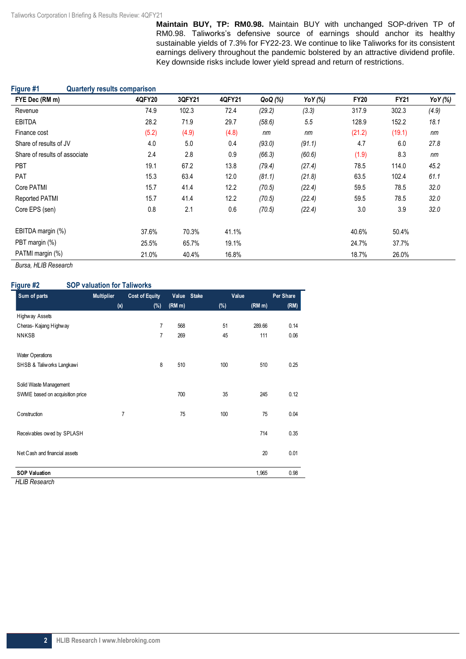**Maintain BUY, TP: RM0.98.** Maintain BUY with unchanged SOP-driven TP of RM0.98. Taliworks's defensive source of earnings should anchor its healthy sustainable yields of 7.3% for FY22-23. We continue to like Taliworks for its consistent earnings delivery throughout the pandemic bolstered by an attractive dividend profile. Key downside risks include lower yield spread and return of restrictions.

| Figure #1<br><b>Quarterly results comparison</b> |        |        |        |         |         |             |             |         |
|--------------------------------------------------|--------|--------|--------|---------|---------|-------------|-------------|---------|
| FYE Dec (RM m)                                   | 4QFY20 | 3QFY21 | 4QFY21 | QoQ (%) | YoY (%) | <b>FY20</b> | <b>FY21</b> | YoY (%) |
| Revenue                                          | 74.9   | 102.3  | 72.4   | (29.2)  | (3.3)   | 317.9       | 302.3       | (4.9)   |
| <b>EBITDA</b>                                    | 28.2   | 71.9   | 29.7   | (58.6)  | 5.5     | 128.9       | 152.2       | 18.1    |
| Finance cost                                     | (5.2)  | (4.9)  | (4.8)  | nm      | nm      | (21.2)      | (19.1)      | nm      |
| Share of results of JV                           | 4.0    | 5.0    | 0.4    | (93.0)  | (91.1)  | 4.7         | 6.0         | 27.8    |
| Share of results of associate                    | 2.4    | 2.8    | 0.9    | (66.3)  | (60.6)  | (1.9)       | 8.3         | nm      |
| <b>PBT</b>                                       | 19.1   | 67.2   | 13.8   | (79.4)  | (27.4)  | 78.5        | 114.0       | 45.2    |
| PAT                                              | 15.3   | 63.4   | 12.0   | (81.1)  | (21.8)  | 63.5        | 102.4       | 61.1    |
| Core PATMI                                       | 15.7   | 41.4   | 12.2   | (70.5)  | (22.4)  | 59.5        | 78.5        | 32.0    |
| Reported PATMI                                   | 15.7   | 41.4   | 12.2   | (70.5)  | (22.4)  | 59.5        | 78.5        | 32.0    |
| Core EPS (sen)                                   | 0.8    | 2.1    | 0.6    | (70.5)  | (22.4)  | 3.0         | 3.9         | 32.0    |
| EBITDA margin (%)                                | 37.6%  | 70.3%  | 41.1%  |         |         | 40.6%       | 50.4%       |         |
| PBT margin (%)                                   | 25.5%  | 65.7%  | 19.1%  |         |         | 24.7%       | 37.7%       |         |
| PATMI margin (%)                                 | 21.0%  | 40.4%  | 16.8%  |         |         | 18.7%       | 26.0%       |         |

*Bursa, HLIB Research* 

### **Figure #2 SOP valuation for Taliworks**

| Sum of parts                    | <b>Multiplier</b> | <b>Cost of Equity</b> |        | Value Stake | Value  | Per Share |
|---------------------------------|-------------------|-----------------------|--------|-------------|--------|-----------|
|                                 | (x)               | $(\%)$                | (RM m) | $(\%)$      | (RM m) | (RM)      |
| Highway Assets                  |                   |                       |        |             |        |           |
| Cheras-Kajang Highway           |                   | $\overline{7}$        | 568    | 51          | 289.66 | 0.14      |
| <b>NNKSB</b>                    |                   | $\overline{7}$        | 269    | 45          | 111    | 0.06      |
| <b>Water Operations</b>         |                   |                       |        |             |        |           |
| SHSB & Taliworks Langkawi       |                   | 8                     | 510    | 100         | 510    | 0.25      |
| Solid Waste Management          |                   |                       |        |             |        |           |
| SWME based on acquisition price |                   |                       | 700    | 35          | 245    | 0.12      |
| Construction                    | 7                 |                       | 75     | 100         | 75     | 0.04      |
| Receivables owed by SPLASH      |                   |                       |        |             | 714    | 0.35      |
| Net Cash and financial assets   |                   |                       |        |             | 20     | 0.01      |
| <b>SOP Valuation</b>            |                   |                       |        |             | 1,965  | 0.98      |

*HLIB Research*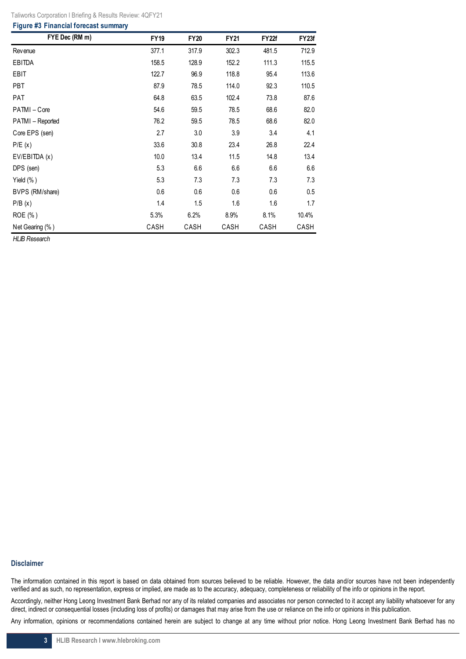| Taliworks Corporation I Briefing & Results Review: 4QFY21 |  |  |
|-----------------------------------------------------------|--|--|

#### **Figure #3 Financial forecast summary**

| FYE Dec (RM m)   | <b>FY19</b> | <b>FY20</b> | <b>FY21</b> | FY22f | FY23f |
|------------------|-------------|-------------|-------------|-------|-------|
| Rev enue         | 377.1       | 317.9       | 302.3       | 481.5 | 712.9 |
| EBITDA           | 158.5       | 128.9       | 152.2       | 111.3 | 115.5 |
| EBIT             | 122.7       | 96.9        | 118.8       | 95.4  | 113.6 |
| <b>PBT</b>       | 87.9        | 78.5        | 114.0       | 92.3  | 110.5 |
| <b>PAT</b>       | 64.8        | 63.5        | 102.4       | 73.8  | 87.6  |
| PATMI-Core       | 54.6        | 59.5        | 78.5        | 68.6  | 82.0  |
| PATMI - Reported | 76.2        | 59.5        | 78.5        | 68.6  | 82.0  |
| Core EPS (sen)   | 2.7         | 3.0         | 3.9         | 3.4   | 4.1   |
| P/E(x)           | 33.6        | 30.8        | 23.4        | 26.8  | 22.4  |
| EV/EBITDA (x)    | 10.0        | 13.4        | 11.5        | 14.8  | 13.4  |
| DPS (sen)        | 5.3         | 6.6         | 6.6         | 6.6   | 6.6   |
| Yield $(\% )$    | 5.3         | 7.3         | 7.3         | 7.3   | 7.3   |
| BVPS (RM/share)  | 0.6         | 0.6         | 0.6         | 0.6   | 0.5   |
| P/B(x)           | 1.4         | 1.5         | 1.6         | 1.6   | 1.7   |
| ROE (%)          | 5.3%        | 6.2%        | 8.9%        | 8.1%  | 10.4% |
| Net Gearing (%)  | CASH        | CASH        | CASH        | CASH  | CASH  |

*HLIB Research* 

### **Disclaimer**

The information contained in this report is based on data obtained from sources believed to be reliable. However, the data and/or sources have not been independently verified and as such, no representation, express or implied, are made as to the accuracy, adequacy, completeness or reliability of the info or opinions in the report.

Accordingly, neither Hong Leong Investment Bank Berhad nor any of its related companies and associates nor person connected to it accept any liability whatsoever for any direct, indirect or consequential losses (including loss of profits) or damages that may arise from the use or reliance on the info or opinions in this publication.

Any information, opinions or recommendations contained herein are subject to change at any time without prior notice. Hong Leong Investment Bank Berhad has no